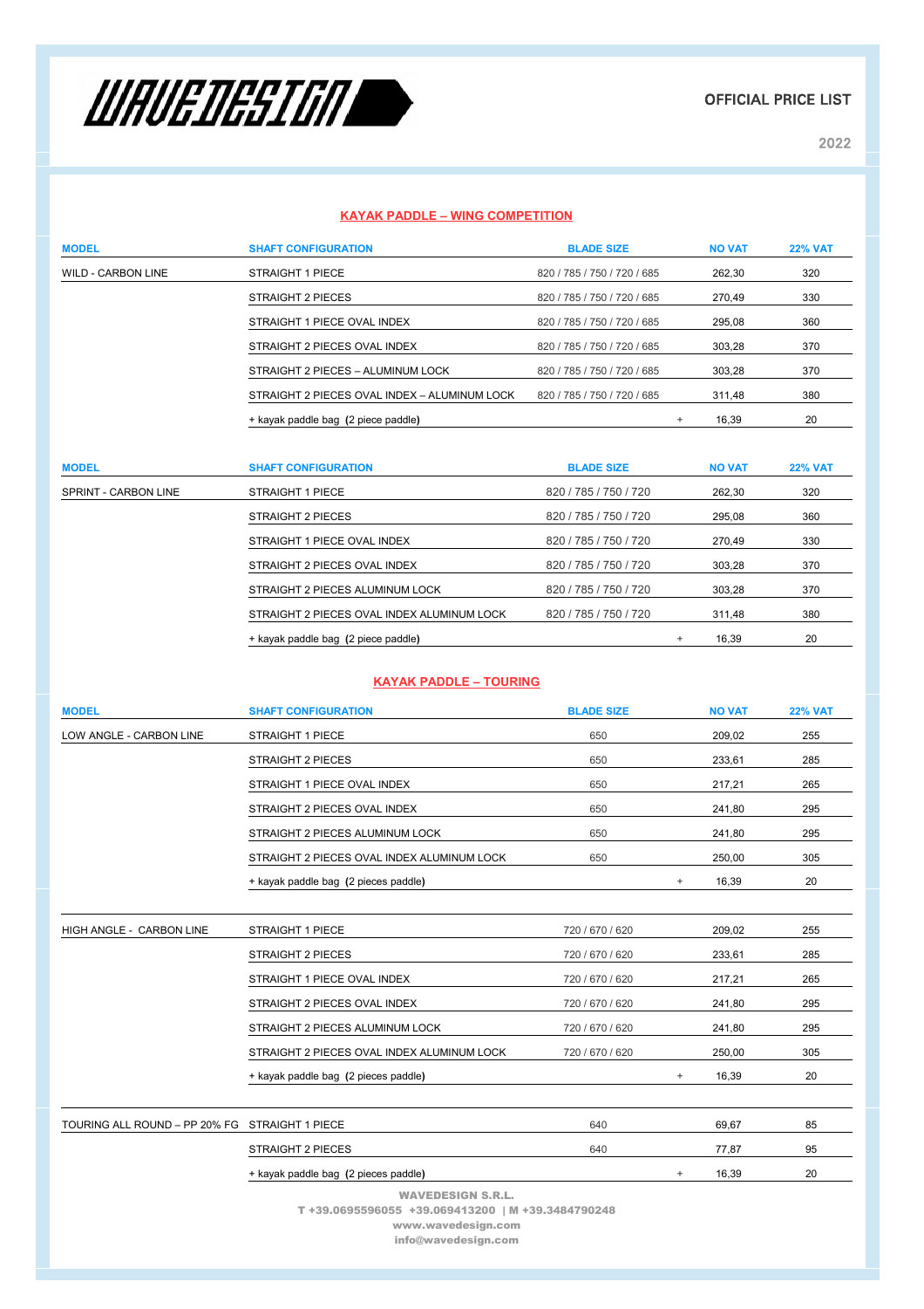

OFFICIAL PRICE LIST

2022

# **KAYAK PADDLE – WING COMPETITION**

| <b>MODEL</b>              | <b>SHAFT CONFIGURATION</b>                   | <b>BLADE SIZE</b>           |        | <b>NO VAT</b> | <b>22% VAT</b> |
|---------------------------|----------------------------------------------|-----------------------------|--------|---------------|----------------|
| <b>WILD - CARBON LINE</b> | STRAIGHT 1 PIECE                             | 820 / 785 / 750 / 720 / 685 |        | 262.30        | 320            |
|                           | STRAIGHT 2 PIECES                            | 820 / 785 / 750 / 720 / 685 |        | 270.49        | 330            |
|                           | STRAIGHT 1 PIECE OVAL INDEX                  | 820 / 785 / 750 / 720 / 685 |        | 295.08        | 360            |
|                           | STRAIGHT 2 PIECES OVAL INDEX                 | 820 / 785 / 750 / 720 / 685 |        | 303.28        | 370            |
|                           | STRAIGHT 2 PIECES - ALUMINUM LOCK            | 820 / 785 / 750 / 720 / 685 |        | 303.28        | 370            |
|                           | STRAIGHT 2 PIECES OVAL INDEX - ALUMINUM LOCK | 820 / 785 / 750 / 720 / 685 |        | 311.48        | 380            |
|                           | + kayak paddle bag (2 piece paddle)          |                             | $^{+}$ | 16,39         | 20             |

| <b>MODEL</b>         | <b>SHAFT CONFIGURATION</b>                 | <b>BLADE SIZE</b>     | <b>NO VAT</b> | <b>22% VAT</b> |
|----------------------|--------------------------------------------|-----------------------|---------------|----------------|
| SPRINT - CARBON LINE | STRAIGHT 1 PIECE                           | 820 / 785 / 750 / 720 | 262.30        | 320            |
|                      | <b>STRAIGHT 2 PIECES</b>                   | 820 / 785 / 750 / 720 | 295.08        | 360            |
|                      | STRAIGHT 1 PIECE OVAL INDEX                | 820 / 785 / 750 / 720 | 270.49        | 330            |
|                      | STRAIGHT 2 PIECES OVAL INDEX               | 820 / 785 / 750 / 720 | 303.28        | 370            |
|                      | STRAIGHT 2 PIECES ALUMINUM LOCK            | 820 / 785 / 750 / 720 | 303.28        | 370            |
|                      | STRAIGHT 2 PIECES OVAL INDEX ALUMINUM LOCK | 820 / 785 / 750 / 720 | 311.48        | 380            |
|                      | + kayak paddle bag (2 piece paddle)        |                       | 16.39<br>$+$  | 20             |

### **KAYAK PADDLE – TOURING**

| <b>MODEL</b>                                   | <b>SHAFT CONFIGURATION</b>                        | <b>BLADE SIZE</b> |        | <b>NO VAT</b> | <b>22% VAT</b> |
|------------------------------------------------|---------------------------------------------------|-------------------|--------|---------------|----------------|
| LOW ANGLE - CARBON LINE                        | <b>STRAIGHT 1 PIECE</b>                           | 650               |        | 209,02        | 255            |
|                                                | <b>STRAIGHT 2 PIECES</b>                          | 650               |        | 233,61        | 285            |
|                                                | STRAIGHT 1 PIECE OVAL INDEX                       | 650               |        | 217,21        | 265            |
|                                                | STRAIGHT 2 PIECES OVAL INDEX                      | 650               |        | 241,80        | 295            |
|                                                | STRAIGHT 2 PIECES ALUMINUM LOCK                   | 650               |        | 241,80        | 295            |
|                                                | STRAIGHT 2 PIECES OVAL INDEX ALUMINUM LOCK        | 650               |        | 250,00        | 305            |
|                                                | + kayak paddle bag (2 pieces paddle)              |                   | $^{+}$ | 16,39         | 20             |
|                                                |                                                   |                   |        |               |                |
| HIGH ANGLE - CARBON LINE                       | <b>STRAIGHT 1 PIECE</b>                           | 720 / 670 / 620   |        | 209,02        | 255            |
|                                                | <b>STRAIGHT 2 PIECES</b>                          | 720 / 670 / 620   |        | 233,61        | 285            |
|                                                | STRAIGHT 1 PIECE OVAL INDEX                       | 720 / 670 / 620   |        | 217,21        | 265            |
|                                                | STRAIGHT 2 PIECES OVAL INDEX                      | 720 / 670 / 620   |        | 241,80        | 295            |
|                                                | STRAIGHT 2 PIECES ALUMINUM LOCK                   | 720 / 670 / 620   |        | 241,80        | 295            |
|                                                | STRAIGHT 2 PIECES OVAL INDEX ALUMINUM LOCK        | 720 / 670 / 620   |        | 250,00        | 305            |
|                                                | + kayak paddle bag (2 pieces paddle)              |                   | $+$    | 16,39         | 20             |
|                                                |                                                   |                   |        |               |                |
| TOURING ALL ROUND - PP 20% FG STRAIGHT 1 PIECE |                                                   | 640               |        | 69,67         | 85             |
|                                                | <b>STRAIGHT 2 PIECES</b>                          | 640               |        | 77,87         | 95             |
|                                                | + kayak paddle bag (2 pieces paddle)              |                   | $+$    | 16,39         | 20             |
|                                                | <b>WAVEDESIGN S.R.L.</b>                          |                   |        |               |                |
|                                                | T +39.0695596055 +39.069413200   M +39.3484790248 |                   |        |               |                |
| www.wavedesign.com                             |                                                   |                   |        |               |                |

info@wavedesign.com